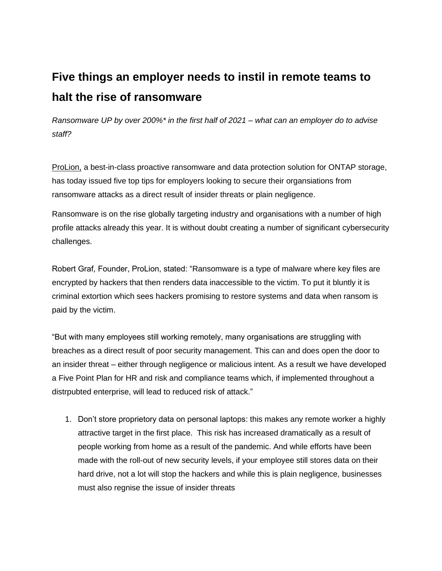## **Five things an employer needs to instil in remote teams to halt the rise of ransomware**

*Ransomware UP by over 200%\* in the first half of 2021 – what can an employer do to advise staff?*

[ProLion,](https://prolion.com/) a best-in-class proactive ransomware and data protection solution for ONTAP storage, has today issued five top tips for employers looking to secure their organsiations from ransomware attacks as a direct result of insider threats or plain negligence.

Ransomware is on the rise globally targeting industry and organisations with a number of high profile attacks already this year. It is without doubt creating a number of significant cybersecurity challenges.

Robert Graf, Founder, ProLion, stated: "Ransomware is a type of malware where key files are encrypted by hackers that then renders data inaccessible to the victim. To put it bluntly it is criminal extortion which sees hackers promising to restore systems and data when ransom is paid by the victim.

"But with many employees still working remotely, many organisations are struggling with breaches as a direct result of poor security management. This can and does open the door to an insider threat – either through negligence or malicious intent. As a result we have developed a Five Point Plan for HR and risk and compliance teams which, if implemented throughout a distrpubted enterprise, will lead to reduced risk of attack."

1. Don't store proprietory data on personal laptops: this makes any remote worker a highly attractive target in the first place. This risk has increased dramatically as a result of people working from home as a result of the pandemic. And while efforts have been made with the roll-out of new security levels, if your employee still stores data on their hard drive, not a lot will stop the hackers and while this is plain negligence, businesses must also regnise the issue of insider threats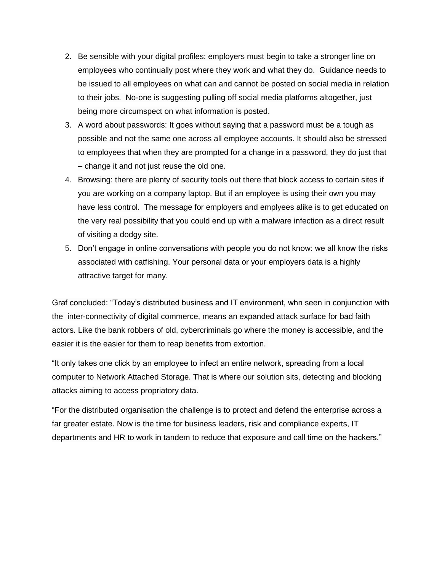- 2. Be sensible with your digital profiles: employers must begin to take a stronger line on employees who continually post where they work and what they do. Guidance needs to be issued to all employees on what can and cannot be posted on social media in relation to their jobs. No-one is suggesting pulling off social media platforms altogether, just being more circumspect on what information is posted.
- 3. A word about passwords: It goes without saying that a password must be a tough as possible and not the same one across all employee accounts. It should also be stressed to employees that when they are prompted for a change in a password, they do just that – change it and not just reuse the old one.
- 4. Browsing: there are plenty of security tools out there that block access to certain sites if you are working on a company laptop. But if an employee is using their own you may have less control. The message for employers and emplyees alike is to get educated on the very real possibility that you could end up with a malware infection as a direct result of visiting a dodgy site.
- 5. Don't engage in online conversations with people you do not know: we all know the risks associated with catfishing. Your personal data or your employers data is a highly attractive target for many.

Graf concluded: "Today's distributed business and IT environment, whn seen in conjunction with the inter-connectivity of digital commerce, means an expanded attack surface for bad faith actors. Like the bank robbers of old, cybercriminals go where the money is accessible, and the easier it is the easier for them to reap benefits from extortion.

"It only takes one click by an employee to infect an entire network, spreading from a local computer to Network Attached Storage. That is where our solution sits, detecting and blocking attacks aiming to access propriatory data.

"For the distributed organisation the challenge is to protect and defend the enterprise across a far greater estate. Now is the time for business leaders, risk and compliance experts, IT departments and HR to work in tandem to reduce that exposure and call time on the hackers."